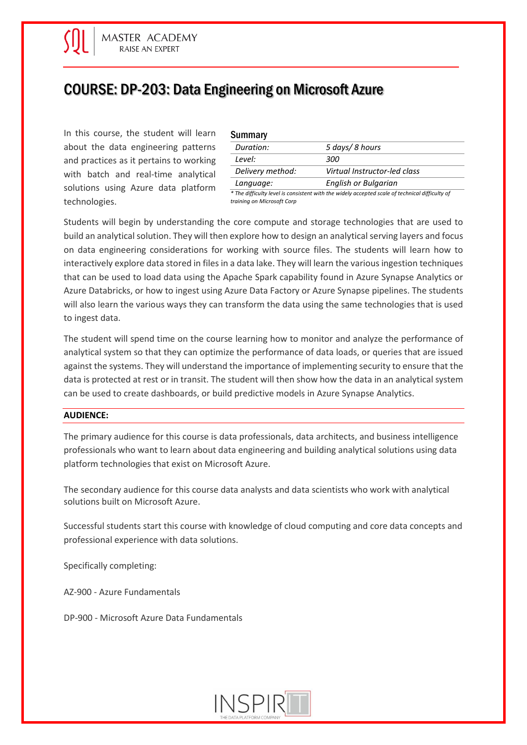# COURSE: DP-203: Data Engineering on Microsoft Azure

In this course, the student will learn about the data engineering patterns and practices as it pertains to working with batch and real-time analytical solutions using Azure data platform technologies.

| <b>Summary</b>   |                                                                                                |
|------------------|------------------------------------------------------------------------------------------------|
| Duration:        | 5 days/ 8 hours                                                                                |
| Level:           | 300                                                                                            |
| Delivery method: | Virtual Instructor-led class                                                                   |
| Language:        | English or Bulgarian                                                                           |
|                  | * The difficulty level is consistent with the widely accented scale of technical difficulty of |

*\* The difficulty level is consistent with the widely accepted scale of technical difficulty of training on Microsoft Corp*

Students will begin by understanding the core compute and storage technologies that are used to build an analytical solution. They will then explore how to design an analytical serving layers and focus on data engineering considerations for working with source files. The students will learn how to interactively explore data stored in files in a data lake. They will learn the various ingestion techniques that can be used to load data using the Apache Spark capability found in Azure Synapse Analytics or Azure Databricks, or how to ingest using Azure Data Factory or Azure Synapse pipelines. The students will also learn the various ways they can transform the data using the same technologies that is used to ingest data.

The student will spend time on the course learning how to monitor and analyze the performance of analytical system so that they can optimize the performance of data loads, or queries that are issued against the systems. They will understand the importance of implementing security to ensure that the data is protected at rest or in transit. The student will then show how the data in an analytical system can be used to create dashboards, or build predictive models in Azure Synapse Analytics.

# **AUDIENCE:**

The primary audience for this course is data professionals, data architects, and business intelligence professionals who want to learn about data engineering and building analytical solutions using data platform technologies that exist on Microsoft Azure.

The secondary audience for this course data analysts and data scientists who work with analytical solutions built on Microsoft Azure.

Successful students start this course with knowledge of cloud computing and core data concepts and professional experience with data solutions.

Specifically completing:

AZ-900 - Azure Fundamentals

DP-900 - Microsoft Azure Data Fundamentals

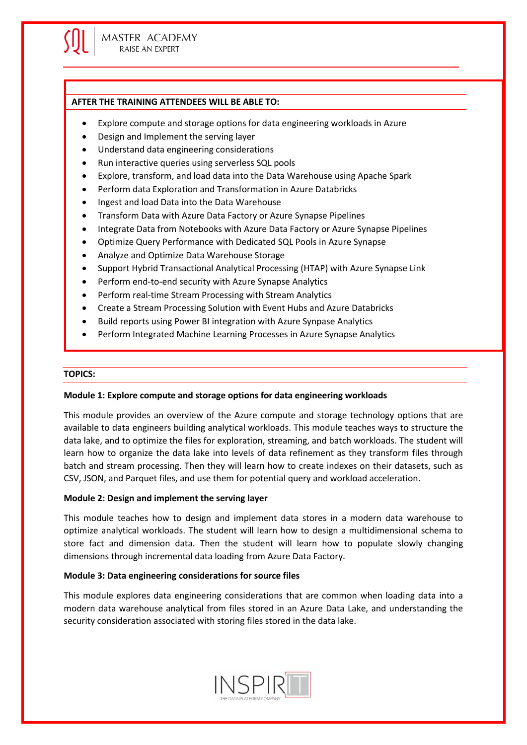## **AFTER THE TRAINING ATTENDEES WILL BE ABLE TO:**

- Explore compute and storage options for data engineering workloads in Azure
- Design and Implement the serving layer
- Understand data engineering considerations
- Run interactive queries using serverless SQL pools
- Explore, transform, and load data into the Data Warehouse using Apache Spark
- Perform data Exploration and Transformation in Azure Databricks
- Ingest and load Data into the Data Warehouse
- Transform Data with Azure Data Factory or Azure Synapse Pipelines
- Integrate Data from Notebooks with Azure Data Factory or Azure Synapse Pipelines
- Optimize Query Performance with Dedicated SQL Pools in Azure Synapse
- Analyze and Optimize Data Warehouse Storage
- Support Hybrid Transactional Analytical Processing (HTAP) with Azure Synapse Link
- Perform end-to-end security with Azure Synapse Analytics
- Perform real-time Stream Processing with Stream Analytics
- Create a Stream Processing Solution with Event Hubs and Azure Databricks
- Build reports using Power BI integration with Azure Synpase Analytics
- Perform Integrated Machine Learning Processes in Azure Synapse Analytics

#### **TOPICS:**

# **Module 1: Explore compute and storage options for data engineering workloads**

This module provides an overview of the Azure compute and storage technology options that are available to data engineers building analytical workloads. This module teaches ways to structure the data lake, and to optimize the files for exploration, streaming, and batch workloads. The student will learn how to organize the data lake into levels of data refinement as they transform files through batch and stream processing. Then they will learn how to create indexes on their datasets, such as CSV, JSON, and Parquet files, and use them for potential query and workload acceleration.

# **Module 2: Design and implement the serving layer**

This module teaches how to design and implement data stores in a modern data warehouse to optimize analytical workloads. The student will learn how to design a multidimensional schema to store fact and dimension data. Then the student will learn how to populate slowly changing dimensions through incremental data loading from Azure Data Factory.

# **Module 3: Data engineering considerations for source files**

This module explores data engineering considerations that are common when loading data into a modern data warehouse analytical from files stored in an Azure Data Lake, and understanding the security consideration associated with storing files stored in the data lake.

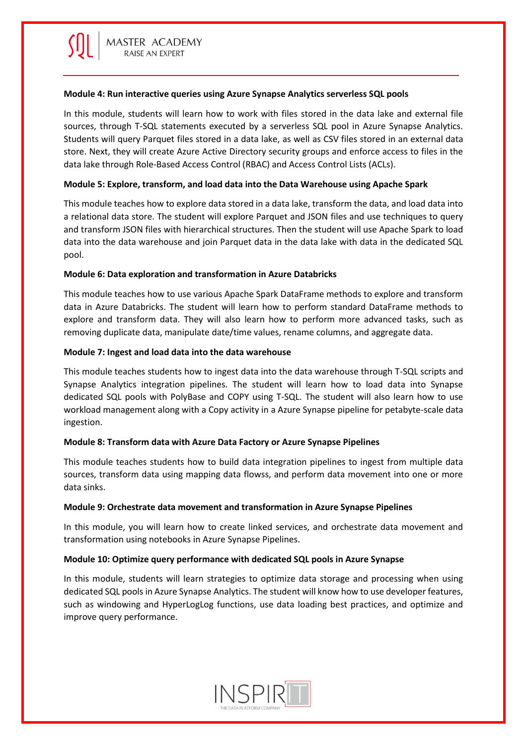## **Module 4: Run interactive queries using Azure Synapse Analytics serverless SQL pools**

In this module, students will learn how to work with files stored in the data lake and external file sources, through T-SQL statements executed by a serverless SQL pool in Azure Synapse Analytics. Students will query Parquet files stored in a data lake, as well as CSV files stored in an external data store. Next, they will create Azure Active Directory security groups and enforce access to files in the data lake through Role-Based Access Control (RBAC) and Access Control Lists (ACLs).

# **Module 5: Explore, transform, and load data into the Data Warehouse using Apache Spark**

This module teaches how to explore data stored in a data lake, transform the data, and load data into a relational data store. The student will explore Parquet and JSON files and use techniques to query and transform JSON files with hierarchical structures. Then the student will use Apache Spark to load data into the data warehouse and join Parquet data in the data lake with data in the dedicated SQL pool.

## **Module 6: Data exploration and transformation in Azure Databricks**

This module teaches how to use various Apache Spark DataFrame methods to explore and transform data in Azure Databricks. The student will learn how to perform standard DataFrame methods to explore and transform data. They will also learn how to perform more advanced tasks, such as removing duplicate data, manipulate date/time values, rename columns, and aggregate data.

## **Module 7: Ingest and load data into the data warehouse**

This module teaches students how to ingest data into the data warehouse through T-SQL scripts and Synapse Analytics integration pipelines. The student will learn how to load data into Synapse dedicated SQL pools with PolyBase and COPY using T-SQL. The student will also learn how to use workload management along with a Copy activity in a Azure Synapse pipeline for petabyte-scale data ingestion.

# **Module 8: Transform data with Azure Data Factory or Azure Synapse Pipelines**

This module teaches students how to build data integration pipelines to ingest from multiple data sources, transform data using mapping data flowss, and perform data movement into one or more data sinks.

#### **Module 9: Orchestrate data movement and transformation in Azure Synapse Pipelines**

In this module, you will learn how to create linked services, and orchestrate data movement and transformation using notebooks in Azure Synapse Pipelines.

#### **Module 10: Optimize query performance with dedicated SQL pools in Azure Synapse**

In this module, students will learn strategies to optimize data storage and processing when using dedicated SQL pools in Azure Synapse Analytics. The student will know how to use developer features, such as windowing and HyperLogLog functions, use data loading best practices, and optimize and improve query performance.

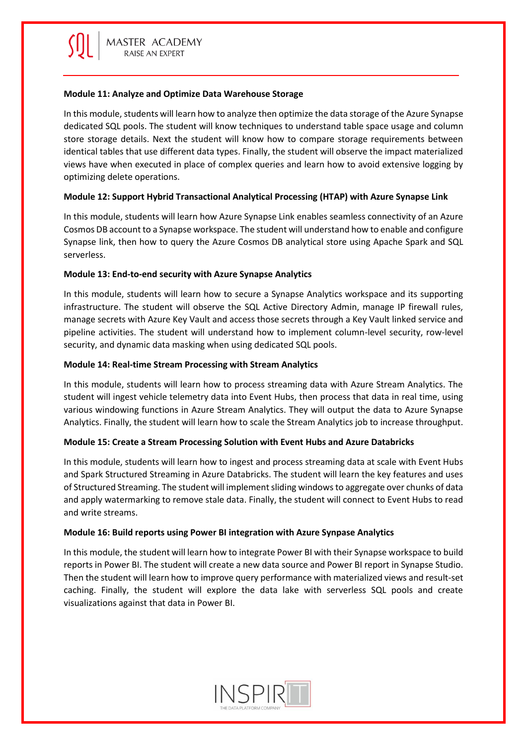# **Module 11: Analyze and Optimize Data Warehouse Storage**

In this module, students will learn how to analyze then optimize the data storage of the Azure Synapse dedicated SQL pools. The student will know techniques to understand table space usage and column store storage details. Next the student will know how to compare storage requirements between identical tables that use different data types. Finally, the student will observe the impact materialized views have when executed in place of complex queries and learn how to avoid extensive logging by optimizing delete operations.

# **Module 12: Support Hybrid Transactional Analytical Processing (HTAP) with Azure Synapse Link**

In this module, students will learn how Azure Synapse Link enables seamless connectivity of an Azure Cosmos DB account to a Synapse workspace. The student will understand how to enable and configure Synapse link, then how to query the Azure Cosmos DB analytical store using Apache Spark and SQL serverless.

# **Module 13: End-to-end security with Azure Synapse Analytics**

In this module, students will learn how to secure a Synapse Analytics workspace and its supporting infrastructure. The student will observe the SQL Active Directory Admin, manage IP firewall rules, manage secrets with Azure Key Vault and access those secrets through a Key Vault linked service and pipeline activities. The student will understand how to implement column-level security, row-level security, and dynamic data masking when using dedicated SQL pools.

# **Module 14: Real-time Stream Processing with Stream Analytics**

In this module, students will learn how to process streaming data with Azure Stream Analytics. The student will ingest vehicle telemetry data into Event Hubs, then process that data in real time, using various windowing functions in Azure Stream Analytics. They will output the data to Azure Synapse Analytics. Finally, the student will learn how to scale the Stream Analytics job to increase throughput.

# **Module 15: Create a Stream Processing Solution with Event Hubs and Azure Databricks**

In this module, students will learn how to ingest and process streaming data at scale with Event Hubs and Spark Structured Streaming in Azure Databricks. The student will learn the key features and uses of Structured Streaming. The student will implement sliding windows to aggregate over chunks of data and apply watermarking to remove stale data. Finally, the student will connect to Event Hubs to read and write streams.

# **Module 16: Build reports using Power BI integration with Azure Synpase Analytics**

In this module, the student will learn how to integrate Power BI with their Synapse workspace to build reports in Power BI. The student will create a new data source and Power BI report in Synapse Studio. Then the student will learn how to improve query performance with materialized views and result-set caching. Finally, the student will explore the data lake with serverless SQL pools and create visualizations against that data in Power BI.